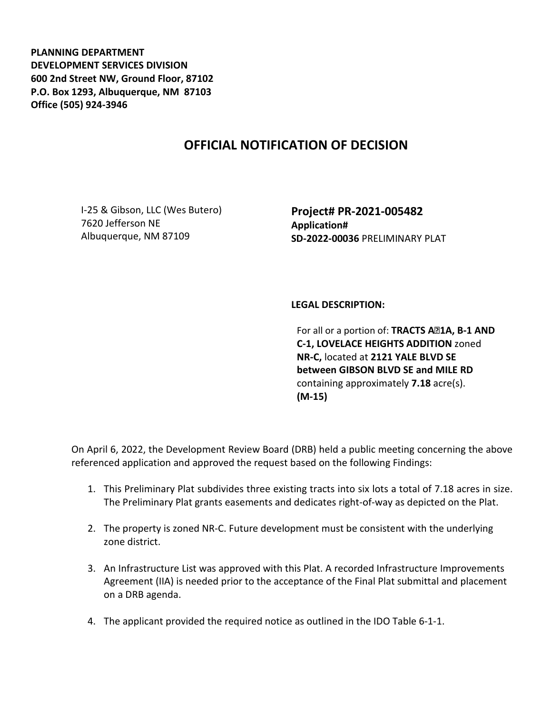**PLANNING DEPARTMENT DEVELOPMENT SERVICES DIVISION 600 2nd Street NW, Ground Floor, 87102 P.O. Box 1293, Albuquerque, NM 87103 Office (505) 924-3946** 

## **OFFICIAL NOTIFICATION OF DECISION**

I-25 & Gibson, LLC (Wes Butero) 7620 Jefferson NE Albuquerque, NM 87109

**Project# PR-2021-005482 Application# SD-2022-00036** PRELIMINARY PLAT

## **LEGAL DESCRIPTION:**

For all or a portion of: TRACTS A<sup>2</sup>1A, B-1 AND **C-1, LOVELACE HEIGHTS ADDITION** zoned **NR-C,** located at **2121 YALE BLVD SE between GIBSON BLVD SE and MILE RD**  containing approximately **7.18** acre(s). **(M-15)**

On April 6, 2022, the Development Review Board (DRB) held a public meeting concerning the above referenced application and approved the request based on the following Findings:

- 1. This Preliminary Plat subdivides three existing tracts into six lots a total of 7.18 acres in size. The Preliminary Plat grants easements and dedicates right-of-way as depicted on the Plat.
- 2. The property is zoned NR-C. Future development must be consistent with the underlying zone district.
- 3. An Infrastructure List was approved with this Plat. A recorded Infrastructure Improvements Agreement (IIA) is needed prior to the acceptance of the Final Plat submittal and placement on a DRB agenda.
- 4. The applicant provided the required notice as outlined in the IDO Table 6-1-1.